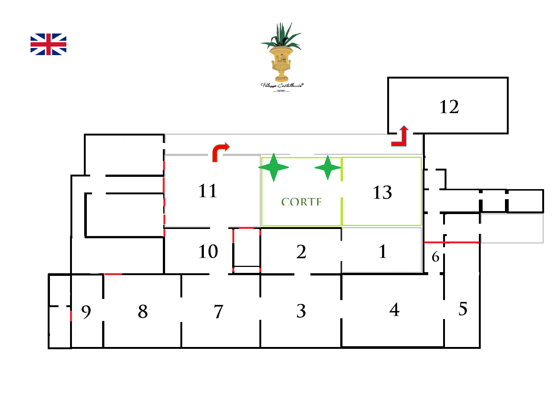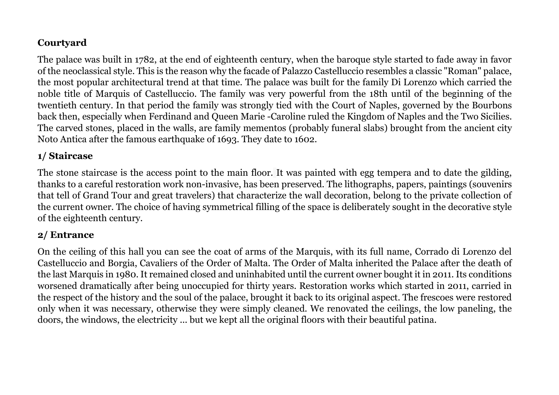# **Courtyard**

The palace was built in 1782, at the end of eighteenth century, when the baroque style started to fade away in favor of the neoclassical style. This is the reason why the facade of Palazzo Castelluccio resembles a classic "Roman" palace, the most popular architectural trend at that time. The palace was built for the family Di Lorenzo which carried the noble title of Marquis of Castelluccio. The family was very powerful from the 18th until of the beginning of the twentieth century. In that period the family was strongly tied with the Court of Naples, governed by the Bourbons back then, especially when Ferdinand and Queen Marie -Caroline ruled the Kingdom of Naples and the Two Sicilies. The carved stones, placed in the walls, are family mementos (probably funeral slabs) brought from the ancient city Noto Antica after the famous earthquake of 1693. They date to 1602.

#### **1/ Staircase**

The stone staircase is the access point to the main floor. It was painted with egg tempera and to date the gilding, thanks to a careful restoration work non-invasive, has been preserved. The lithographs, papers, paintings (souvenirs that tell of Grand Tour and great travelers) that characterize the wall decoration, belong to the private collection of the current owner. The choice of having symmetrical filling of the space is deliberately sought in the decorative style of the eighteenth century.

#### **2/ Entrance**

On the ceiling of this hall you can see the coat of arms of the Marquis, with its full name, Corrado di Lorenzo del Castelluccio and Borgia, Cavaliers of the Order of Malta. The Order of Malta inherited the Palace after the death of the last Marquis in 1980. It remained closed and uninhabited until the current owner bought it in 2011. Its conditions worsened dramatically after being unoccupied for thirty years. Restoration works which started in 2011, carried in the respect of the history and the soul of the palace, brought it back to its original aspect. The frescoes were restored only when it was necessary, otherwise they were simply cleaned. We renovated the ceilings, the low paneling, the doors, the windows, the electricity ... but we kept all the original floors with their beautiful patina.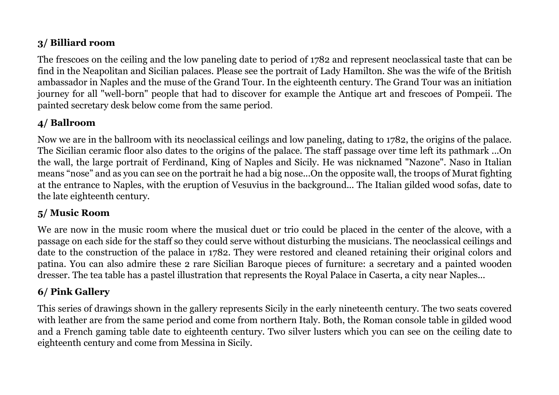# **3/ Billiard room**

The frescoes on the ceiling and the low paneling date to period of 1782 and represent neoclassical taste that can be find in the Neapolitan and Sicilian palaces. Please see the portrait of Lady Hamilton. She was the wife of the British ambassador in Naples and the muse of the Grand Tour. In the eighteenth century. The Grand Tour was an initiation journey for all "well-born" people that had to discover for example the Antique art and frescoes of Pompeii. The painted secretary desk below come from the same period.

### **4/ Ballroom**

Now we are in the ballroom with its neoclassical ceilings and low paneling, dating to 1782, the origins of the palace. The Sicilian ceramic floor also dates to the origins of the palace. The staff passage over time left its pathmark ...On the wall, the large portrait of Ferdinand, King of Naples and Sicily. He was nicknamed "Nazone". Naso in Italian means "nose" and as you can see on the portrait he had a big nose...On the opposite wall, the troops of Murat fighting at the entrance to Naples, with the eruption of Vesuvius in the background... The Italian gilded wood sofas, date to the late eighteenth century.

### **5/ Music Room**

We are now in the music room where the musical duet or trio could be placed in the center of the alcove, with a passage on each side for the staff so they could serve without disturbing the musicians. The neoclassical ceilings and date to the construction of the palace in 1782. They were restored and cleaned retaining their original colors and patina. You can also admire these 2 rare Sicilian Baroque pieces of furniture: a secretary and a painted wooden dresser. The tea table has a pastel illustration that represents the Royal Palace in Caserta, a city near Naples...

# **6/ Pink Gallery**

This series of drawings shown in the gallery represents Sicily in the early nineteenth century. The two seats covered with leather are from the same period and come from northern Italy. Both, the Roman console table in gilded wood and a French gaming table date to eighteenth century. Two silver lusters which you can see on the ceiling date to eighteenth century and come from Messina in Sicily.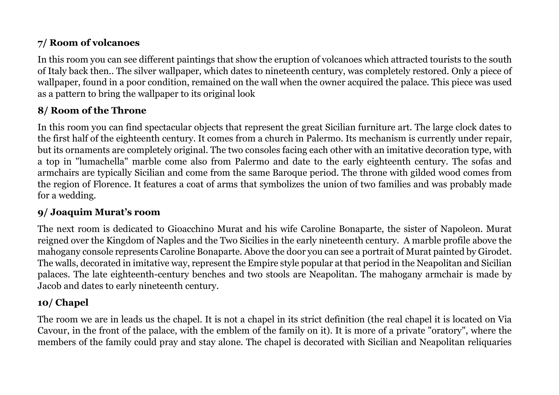# **7/ Room of volcanoes**

In this room you can see different paintings that show the eruption of volcanoes which attracted tourists to the south of Italy back then.. The silver wallpaper, which dates to nineteenth century, was completely restored. Only a piece of wallpaper, found in a poor condition, remained on the wall when the owner acquired the palace. This piece was used as a pattern to bring the wallpaper to its original look

#### **8/ Room of the Throne**

In this room you can find spectacular objects that represent the great Sicilian furniture art. The large clock dates to the first half of the eighteenth century. It comes from a church in Palermo. Its mechanism is currently under repair, but its ornaments are completely original. The two consoles facing each other with an imitative decoration type, with a top in "lumachella" marble come also from Palermo and date to the early eighteenth century. The sofas and armchairs are typically Sicilian and come from the same Baroque period. The throne with gilded wood comes from the region of Florence. It features a coat of arms that symbolizes the union of two families and was probably made for a wedding.

### **9/ Joaquim Murat's room**

The next room is dedicated to Gioacchino Murat and his wife Caroline Bonaparte, the sister of Napoleon. Murat reigned over the Kingdom of Naples and the Two Sicilies in the early nineteenth century. A marble profile above the mahogany console represents Caroline Bonaparte. Above the door you can see a portrait of Murat painted by Girodet. The walls, decorated in imitative way, represent the Empire style popular at that period in the Neapolitan and Sicilian palaces. The late eighteenth-century benches and two stools are Neapolitan. The mahogany armchair is made by Jacob and dates to early nineteenth century.

# **10/ Chapel**

The room we are in leads us the chapel. It is not a chapel in its strict definition (the real chapel it is located on Via Cavour, in the front of the palace, with the emblem of the family on it). It is more of a private "oratory", where the members of the family could pray and stay alone. The chapel is decorated with Sicilian and Neapolitan reliquaries